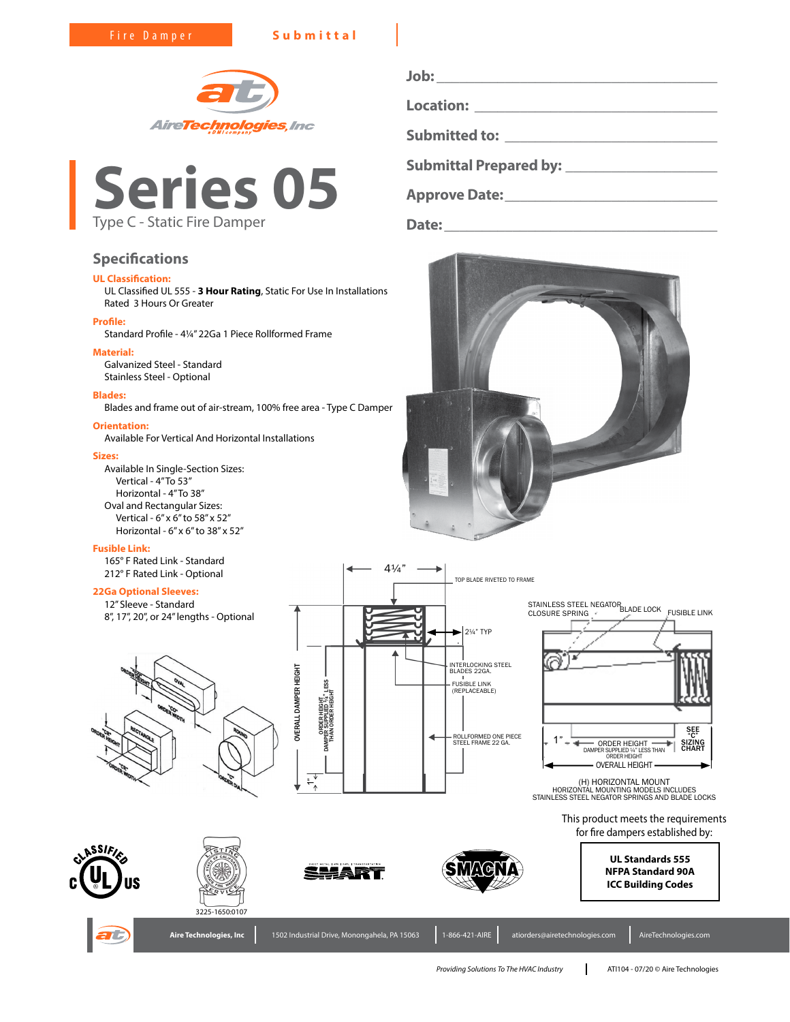Fire Damper **Submittal**





# **Specifications**

# **UL Classification:**

UL Classified UL 555 - **3 Hour Rating**, Static For Use In Installations Rated 3 Hours Or Greater

# **Profile:**

Standard Profile - 4¼" 22Ga 1 Piece Rollformed Frame

# **Material:**

Galvanized Steel - Standard Stainless Steel - Optional

### **Blades:**

Blades and frame out of air-stream, 100% free area - Type C Damper

# **Orientation:**

Available For Vertical And Horizontal Installations

# **Sizes:**

Available In Single-Section Sizes: Vertical - 4" To 53" Horizontal - 4" To 38" Oval and Rectangular Sizes: Vertical - 6" x 6" to 58" x 52" Horizontal - 6" x 6" to 38" x 52"

## **Fusible Link:**

165° F Rated Link - Standard 212° F Rated Link - Optional

# **22Ga Optional Sleeves:**

12" Sleeve - Standard 8", 17", 20", or 24" lengths - Optional





**Job: \_\_\_\_\_\_\_\_\_\_\_\_\_\_\_\_\_\_\_\_\_\_\_\_\_\_\_\_\_\_\_\_\_\_\_\_\_ Location: \_\_\_\_\_\_\_\_\_\_\_\_\_\_\_\_\_\_\_\_\_\_\_\_\_\_\_\_\_\_\_\_ Submitted to: \_\_\_\_\_\_\_\_\_\_\_\_\_\_\_\_\_\_\_\_\_\_\_\_\_\_\_\_ Submittal Prepared by: \_\_\_\_\_\_\_\_\_\_\_\_\_\_\_\_\_\_\_\_ Approve Date:\_\_\_\_\_\_\_\_\_\_\_\_\_\_\_\_\_\_\_\_\_\_\_\_\_\_\_\_**

**Date:\_\_\_\_\_\_\_\_\_\_\_\_\_\_\_\_\_\_\_\_\_\_\_\_\_\_\_\_\_\_\_\_\_\_\_\_**





(H) HORIZONTAL MOUNT HORIZONTAL MOUNTING MODELS INCLUDES STAINLESS STEEL NEGATOR SPRINGS AND BLADE LOCKS

This product meets the requirements for fire dampers established by:





3225-1650:0107